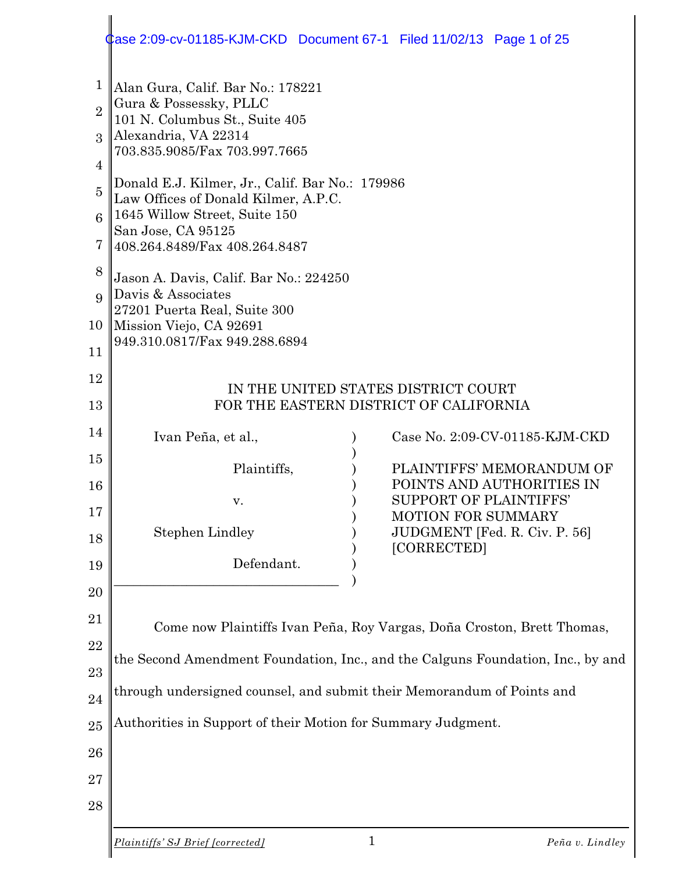#### 1 2 3 4 5 6 7 8 9 10 11 12 13 14 15 16 17 18 19 20 21 22 23 24 25 26 27 28 Alan Gura, Calif. Bar No.: 178221 Gura & Possessky, PLLC 101 N. Columbus St., Suite 405 Alexandria, VA 22314 703.835.9085/Fax 703.997.7665 Donald E.J. Kilmer, Jr., Calif. Bar No.: 179986 Law Offices of Donald Kilmer, A.P.C. 1645 Willow Street, Suite 150 San Jose, CA 95125 408.264.8489/Fax 408.264.8487 Jason A. Davis, Calif. Bar No.: 224250 Davis & Associates 27201 Puerta Real, Suite 300 Mission Viejo, CA 92691 949.310.0817/Fax 949.288.6894 IN THE UNITED STATES DISTRICT COURT FOR THE EASTERN DISTRICT OF CALIFORNIA Ivan Peña, et al., ) Case No. 2:09-CV-01185-KJM-CKD ) Plaintiffs,  $PLAINTIFFS' MEMORANDUM OF$ ) POINTS AND AUTHORITIES IN v. SUPPORT OF PLAINTIFFS' ) MOTION FOR SUMMARY Stephen Lindley ) JUDGMENT [Fed. R. Civ. P. 56] ) [CORRECTED] Defendant. \_\_\_\_\_\_\_\_\_\_\_\_\_\_\_\_\_\_\_\_\_\_\_\_\_\_\_\_\_\_\_\_\_\_ ) Come now Plaintiffs Ivan Peña, Roy Vargas, Doña Croston, Brett Thomas, the Second Amendment Foundation, Inc., and the Calguns Foundation, Inc., by and through undersigned counsel, and submit their Memorandum of Points and Authorities in Support of their Motion for Summary Judgment. Case 2:09-cv-01185-KJM-CKD Document 67-1 Filed 11/02/13 Page 1 of 25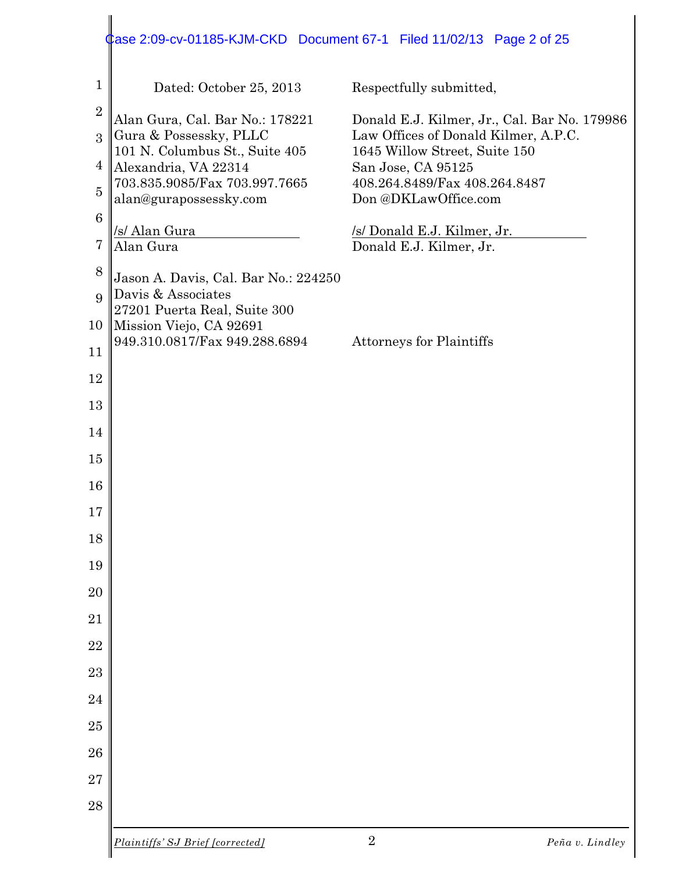### Dated: October 25, 2013 Respectfully submitted, Alan Gura, Cal. Bar No.: 178221 Donald E.J. Kilmer, Jr., Cal. Bar No. 179986 Gura & Possessky, PLLC Law Offices of Donald Kilmer, A.P.C. 101 N. Columbus St., Suite 405 1645 Willow Street, Suite 150 Alexandria, VA 22314 San Jose, CA 95125 703.835.9085/Fax 703.997.7665 408.264.8489/Fax 408.264.8487 alan@gurapossessky.com Don @DKLawOffice.com /s/ Alan Gura /s/ Donald E.J. Kilmer, Jr. Alan Gura Donald E.J. Kilmer, Jr. Jason A. Davis, Cal. Bar No.: 224250 Davis & Associates 27201 Puerta Real, Suite 300 Mission Viejo, CA 92691 949.310.0817/Fax 949.288.6894 Attorneys for Plaintiffs Case 2:09-cv-01185-KJM-CKD Document 67-1 Filed 11/02/13 Page 2 of 25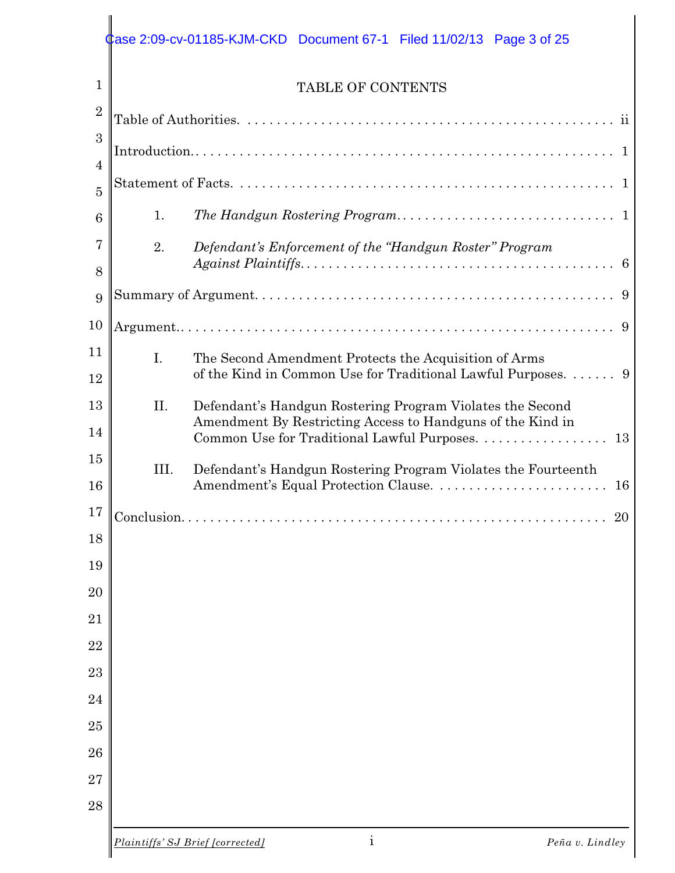# Case 2:09-cv-01185-KJM-CKD Document 67-1 Filed 11/02/13 Page 3 of 25

| $\overline{2}$ |                                  |                                                                                                               |  |
|----------------|----------------------------------|---------------------------------------------------------------------------------------------------------------|--|
| 3              |                                  |                                                                                                               |  |
| $\overline{4}$ |                                  |                                                                                                               |  |
| $\overline{5}$ |                                  |                                                                                                               |  |
| 6              | 1.                               |                                                                                                               |  |
| 7              | 2.                               | Defendant's Enforcement of the "Handgun Roster" Program                                                       |  |
| 8              |                                  |                                                                                                               |  |
| 9              |                                  |                                                                                                               |  |
| 10             |                                  | 9                                                                                                             |  |
| 11             | I.                               | The Second Amendment Protects the Acquisition of Arms                                                         |  |
| 12             |                                  | of the Kind in Common Use for Traditional Lawful Purposes.  9                                                 |  |
| 13             | II.                              | Defendant's Handgun Rostering Program Violates the Second                                                     |  |
| 14             |                                  | Amendment By Restricting Access to Handguns of the Kind in<br>Common Use for Traditional Lawful Purposes.  13 |  |
| 15             | III.                             | Defendant's Handgun Rostering Program Violates the Fourteenth                                                 |  |
| 16             |                                  |                                                                                                               |  |
| 17             |                                  | 20                                                                                                            |  |
| 18             |                                  |                                                                                                               |  |
| 19             |                                  |                                                                                                               |  |
| $20\,$         |                                  |                                                                                                               |  |
| 21             |                                  |                                                                                                               |  |
| 22             |                                  |                                                                                                               |  |
| 23             |                                  |                                                                                                               |  |
| 24             |                                  |                                                                                                               |  |
| 25             |                                  |                                                                                                               |  |
| 26             |                                  |                                                                                                               |  |
| 27             |                                  |                                                                                                               |  |
| 28             |                                  |                                                                                                               |  |
|                | Plaintiffs' SJ Brief [corrected] | $\rm i$<br>Peña v. Lindley                                                                                    |  |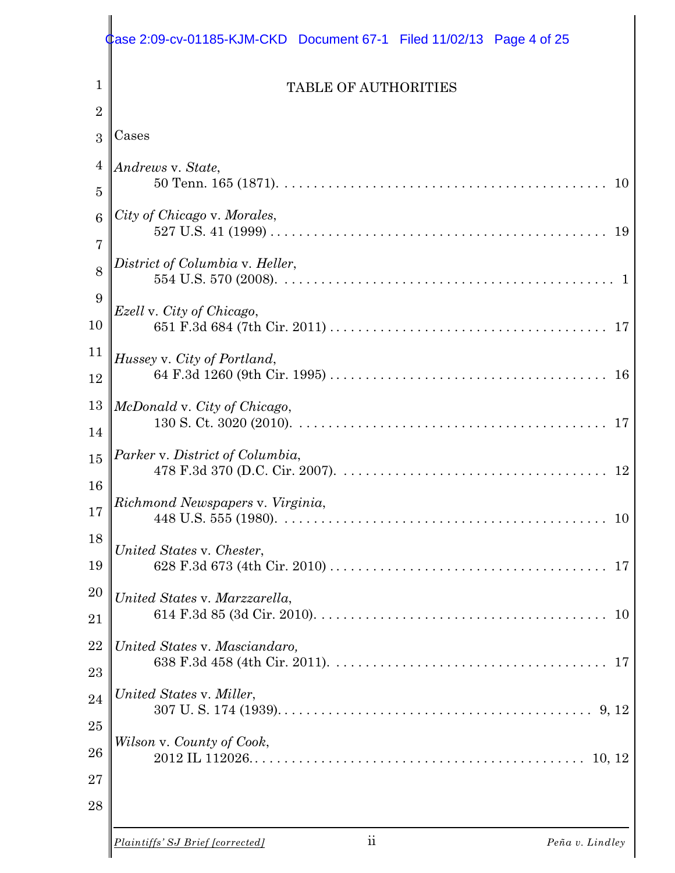|                                  | Case 2:09-cv-01185-KJM-CKD Document 67-1    Filed 11/02/13    Page 4 of 25 |
|----------------------------------|----------------------------------------------------------------------------|
| 1                                | <b>TABLE OF AUTHORITIES</b>                                                |
| $\overline{2}$<br>3              | Cases                                                                      |
| $\overline{4}$<br>$\overline{5}$ | Andrews v. State,<br>10                                                    |
| 6<br>$\overline{7}$              | City of Chicago v. Morales,                                                |
| 8<br>9                           | District of Columbia v. Heller,                                            |
| 10                               | Ezell v. City of Chicago,                                                  |
| 11<br>12                         | Hussey v. City of Portland,                                                |
| 13<br>14                         | McDonald v. City of Chicago,                                               |
| 15<br>16                         | Parker v. District of Columbia,<br>12                                      |
| 17                               | Richmond Newspapers v. Virginia,<br>10                                     |
| 18<br>19                         | United States v. Chester,                                                  |
| <b>20</b><br>21                  | United States v. Marzzarella,<br>10                                        |
| 22<br>23                         | United States v. Masciandaro,                                              |
| 24                               | United States v. Miller,                                                   |
| 25<br>26<br>27<br>28             | Wilson v. County of Cook,                                                  |
|                                  | ii<br>Plaintiffs' SJ Brief [corrected]<br>Peña v. Lindley                  |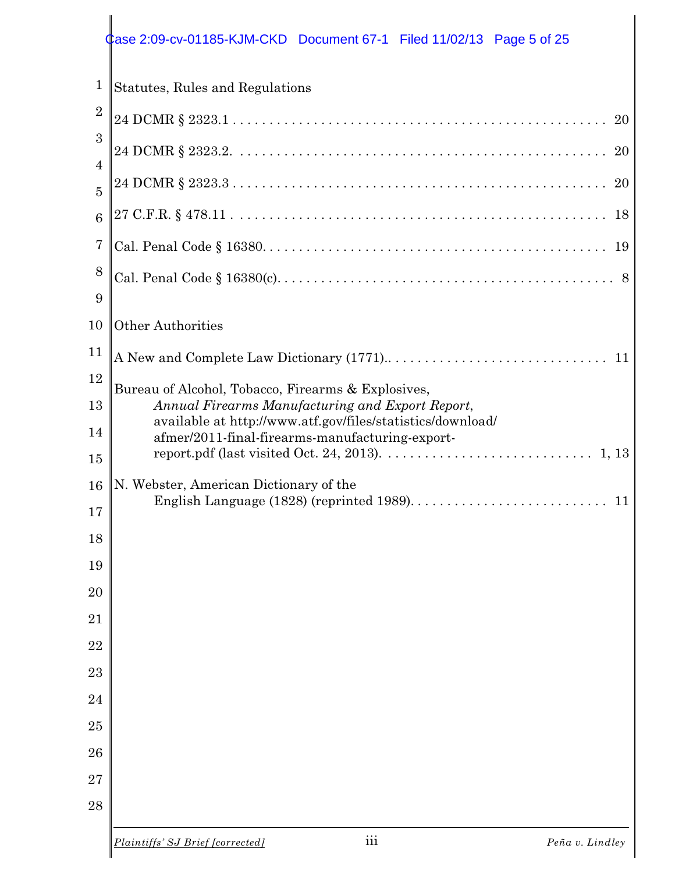# **Case 2:09-cv-01185-KJM-CKD** Document 67-1 Filed 11/02/13 Page 5 of 25

| $\mathbf{1}$                     | Statutes, Rules and Regulations                                                                                |  |  |  |
|----------------------------------|----------------------------------------------------------------------------------------------------------------|--|--|--|
| $\overline{2}$                   | 20                                                                                                             |  |  |  |
| 3                                | 20                                                                                                             |  |  |  |
| $\overline{4}$<br>$\overline{5}$ | 20                                                                                                             |  |  |  |
| 6                                |                                                                                                                |  |  |  |
| $\overline{7}$                   | 19                                                                                                             |  |  |  |
| 8<br>9                           |                                                                                                                |  |  |  |
| 10                               | Other Authorities                                                                                              |  |  |  |
| 11                               | 11                                                                                                             |  |  |  |
| 12                               | Bureau of Alcohol, Tobacco, Firearms & Explosives,                                                             |  |  |  |
| 13                               | Annual Firearms Manufacturing and Export Report,<br>available at http://www.atf.gov/files/statistics/download/ |  |  |  |
| 14<br>15                         | afmer/2011-final-firearms-manufacturing-export-                                                                |  |  |  |
| 16                               | N. Webster, American Dictionary of the                                                                         |  |  |  |
| 17                               | 11                                                                                                             |  |  |  |
| 18                               |                                                                                                                |  |  |  |
| 19                               |                                                                                                                |  |  |  |
| 20                               |                                                                                                                |  |  |  |
| 21<br>22                         |                                                                                                                |  |  |  |
| 23                               |                                                                                                                |  |  |  |
| 24                               |                                                                                                                |  |  |  |
| 25                               |                                                                                                                |  |  |  |
| 26                               |                                                                                                                |  |  |  |
| $\overline{27}$                  |                                                                                                                |  |  |  |
| 28                               |                                                                                                                |  |  |  |
|                                  |                                                                                                                |  |  |  |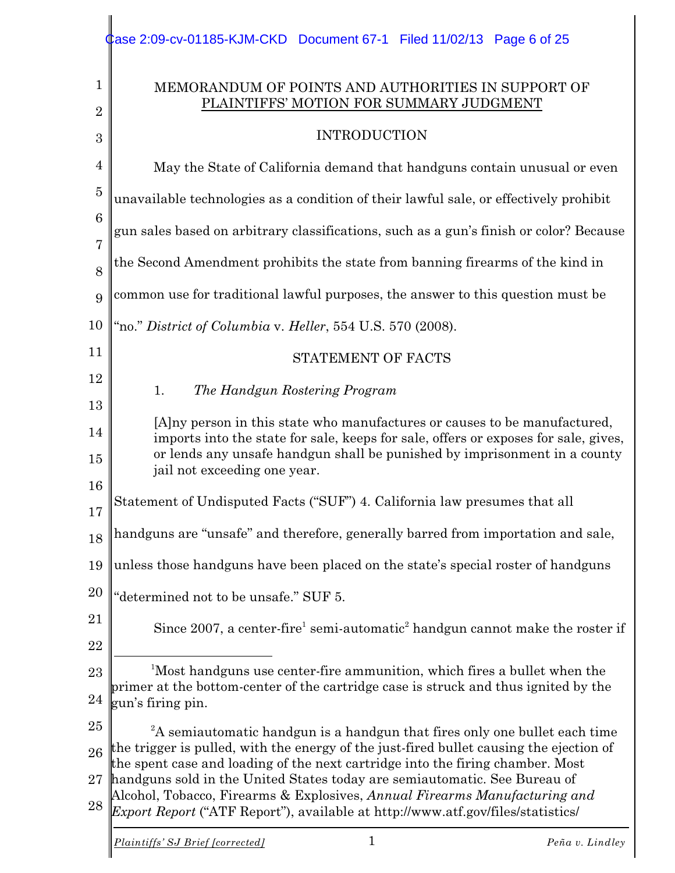|                     | Case 2:09-cv-01185-KJM-CKD Document 67-1 Filed 11/02/13 Page 6 of 25                                                                                                                                                                                                          |  |  |  |
|---------------------|-------------------------------------------------------------------------------------------------------------------------------------------------------------------------------------------------------------------------------------------------------------------------------|--|--|--|
| $\mathbf{1}$        | MEMORANDUM OF POINTS AND AUTHORITIES IN SUPPORT OF<br>PLAINTIFFS' MOTION FOR SUMMARY JUDGMENT                                                                                                                                                                                 |  |  |  |
| $\overline{2}$<br>3 | <b>INTRODUCTION</b>                                                                                                                                                                                                                                                           |  |  |  |
| $\overline{4}$      | May the State of California demand that handguns contain unusual or even                                                                                                                                                                                                      |  |  |  |
| $\overline{5}$      | unavailable technologies as a condition of their lawful sale, or effectively prohibit                                                                                                                                                                                         |  |  |  |
| $6\phantom{1}6$     | gun sales based on arbitrary classifications, such as a gun's finish or color? Because                                                                                                                                                                                        |  |  |  |
| $\overline{7}$<br>8 | the Second Amendment prohibits the state from banning firearms of the kind in                                                                                                                                                                                                 |  |  |  |
| 9                   | common use for traditional lawful purposes, the answer to this question must be                                                                                                                                                                                               |  |  |  |
| 10                  | "no." District of Columbia v. Heller, 554 U.S. 570 (2008).                                                                                                                                                                                                                    |  |  |  |
| 11                  | STATEMENT OF FACTS                                                                                                                                                                                                                                                            |  |  |  |
| 12                  | 1.<br>The Handgun Rostering Program                                                                                                                                                                                                                                           |  |  |  |
| 13<br>14            | [A] a person in this state who manufactures or causes to be manufactured,<br>imports into the state for sale, keeps for sale, offers or exposes for sale, gives,<br>or lends any unsafe handgun shall be punished by imprisonment in a county<br>jail not exceeding one year. |  |  |  |
| 15<br>16            |                                                                                                                                                                                                                                                                               |  |  |  |
| 17                  | Statement of Undisputed Facts ("SUF") 4. California law presumes that all                                                                                                                                                                                                     |  |  |  |
| 18                  | handguns are "unsafe" and therefore, generally barred from importation and sale,                                                                                                                                                                                              |  |  |  |
| 19                  | unless those handguns have been placed on the state's special roster of handguns                                                                                                                                                                                              |  |  |  |
| 20                  | "determined not to be unsafe." SUF 5.                                                                                                                                                                                                                                         |  |  |  |
| 21<br>22            | Since 2007, a center-fire <sup>1</sup> semi-automatic <sup>2</sup> handgun cannot make the roster if                                                                                                                                                                          |  |  |  |
| 23                  | <sup>1</sup> Most handguns use center-fire ammunition, which fires a bullet when the                                                                                                                                                                                          |  |  |  |
| 24                  | primer at the bottom-center of the cartridge case is struck and thus ignited by the<br>gun's firing pin.                                                                                                                                                                      |  |  |  |
| 25                  | ${}^{2}$ A semiautomatic handgun is a handgun that fires only one bullet each time                                                                                                                                                                                            |  |  |  |
| 26                  | the trigger is pulled, with the energy of the just-fired bullet causing the ejection of<br>the spent case and loading of the next cartridge into the firing chamber. Most                                                                                                     |  |  |  |
| 27<br>28            | handguns sold in the United States today are semiautomatic. See Bureau of<br>Alcohol, Tobacco, Firearms & Explosives, Annual Firearms Manufacturing and<br>Export Report ("ATF Report"), available at http://www.atf.gov/files/statistics/                                    |  |  |  |
|                     | Plaintiffs' SJ Brief [corrected]<br>Peña v. Lindley                                                                                                                                                                                                                           |  |  |  |

 $\mathbf{I}$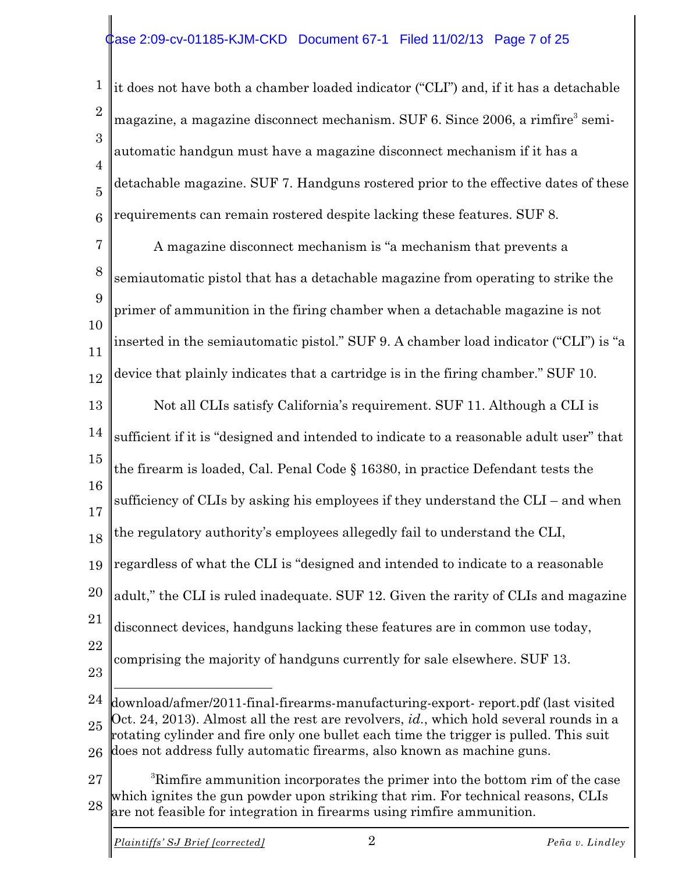#### Case 2:09-cv-01185-KJM-CKD Document 67-1 Filed 11/02/13 Page 7 of 25

1 2 3 4 5 6 it does not have both a chamber loaded indicator ("CLI") and, if it has a detachable magazine, a magazine disconnect mechanism. SUF 6. Since  $2006$ , a rimfire<sup>3</sup> semiautomatic handgun must have a magazine disconnect mechanism if it has a detachable magazine. SUF 7. Handguns rostered prior to the effective dates of these requirements can remain rostered despite lacking these features. SUF 8.

7 8 9 10 11 A magazine disconnect mechanism is "a mechanism that prevents a semiautomatic pistol that has a detachable magazine from operating to strike the primer of ammunition in the firing chamber when a detachable magazine is not inserted in the semiautomatic pistol." SUF 9. A chamber load indicator ("CLI") is "a device that plainly indicates that a cartridge is in the firing chamber." SUF 10.

13 14 15 16 17 18 19 20 21 22 Not all CLIs satisfy California's requirement. SUF 11. Although a CLI is sufficient if it is "designed and intended to indicate to a reasonable adult user" that the firearm is loaded, Cal. Penal Code § 16380, in practice Defendant tests the sufficiency of CLIs by asking his employees if they understand the CLI – and when the regulatory authority's employees allegedly fail to understand the CLI, regardless of what the CLI is "designed and intended to indicate to a reasonable adult," the CLI is ruled inadequate. SUF 12. Given the rarity of CLIs and magazine disconnect devices, handguns lacking these features are in common use today, comprising the majority of handguns currently for sale elsewhere. SUF 13.

23

12

24 25 26 download/afmer/2011-final-firearms-manufacturing-export- report.pdf (last visited Oct. 24, 2013). Almost all the rest are revolvers, *id.*, which hold several rounds in a rotating cylinder and fire only one bullet each time the trigger is pulled. This suit does not address fully automatic firearms, also known as machine guns.

27 28 <sup>3</sup>Rimfire ammunition incorporates the primer into the bottom rim of the case which ignites the gun powder upon striking that rim. For technical reasons, CLIs are not feasible for integration in firearms using rimfire ammunition.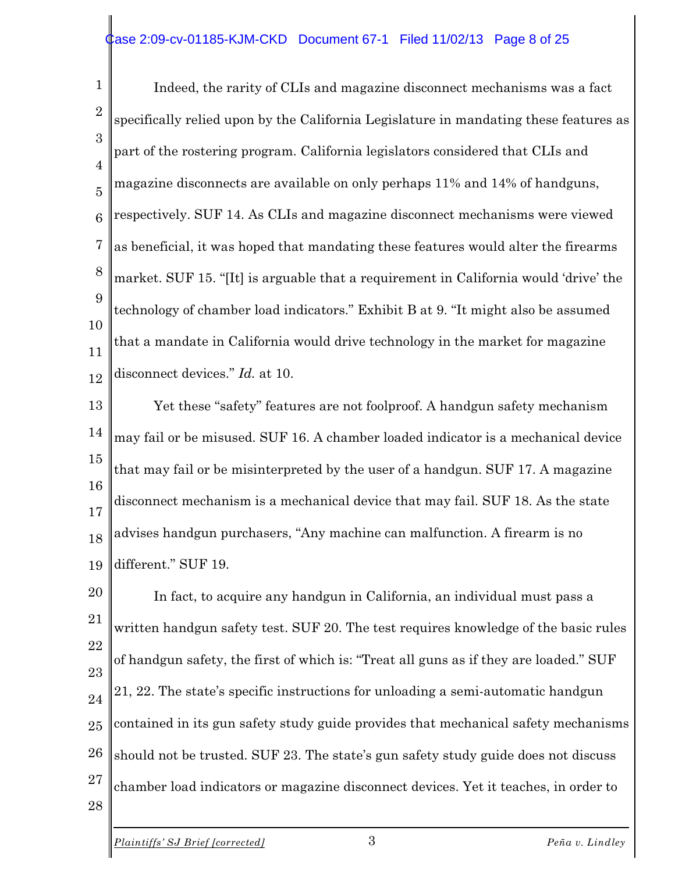#### Case 2:09-cv-01185-KJM-CKD Document 67-1 Filed 11/02/13 Page 8 of 25

1 2 3 4 5 6 7 8 9 10 11 12 Indeed, the rarity of CLIs and magazine disconnect mechanisms was a fact specifically relied upon by the California Legislature in mandating these features as part of the rostering program. California legislators considered that CLIs and magazine disconnects are available on only perhaps 11% and 14% of handguns, respectively. SUF 14. As CLIs and magazine disconnect mechanisms were viewed as beneficial, it was hoped that mandating these features would alter the firearms market. SUF 15. "[It] is arguable that a requirement in California would 'drive' the technology of chamber load indicators." Exhibit B at 9. "It might also be assumed that a mandate in California would drive technology in the market for magazine disconnect devices." *Id.* at 10.

13 14 15 16 17 18 19 Yet these "safety" features are not foolproof. A handgun safety mechanism may fail or be misused. SUF 16. A chamber loaded indicator is a mechanical device that may fail or be misinterpreted by the user of a handgun. SUF 17. A magazine disconnect mechanism is a mechanical device that may fail. SUF 18. As the state advises handgun purchasers, "Any machine can malfunction. A firearm is no different." SUF 19.

20 21 22 23 24 25 26 27 28 In fact, to acquire any handgun in California, an individual must pass a written handgun safety test. SUF 20. The test requires knowledge of the basic rules of handgun safety, the first of which is: "Treat all guns as if they are loaded." SUF 21, 22. The state's specific instructions for unloading a semi-automatic handgun contained in its gun safety study guide provides that mechanical safety mechanisms should not be trusted. SUF 23. The state's gun safety study guide does not discuss chamber load indicators or magazine disconnect devices. Yet it teaches, in order to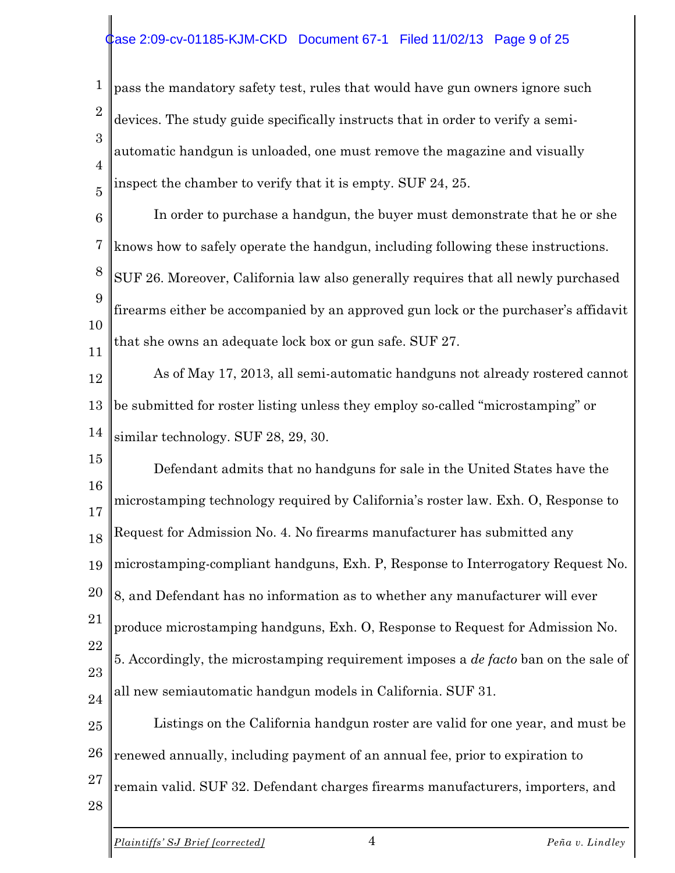#### Case 2:09-cv-01185-KJM-CKD Document 67-1 Filed 11/02/13 Page 9 of 25

1 2 3 4 5 pass the mandatory safety test, rules that would have gun owners ignore such devices. The study guide specifically instructs that in order to verify a semiautomatic handgun is unloaded, one must remove the magazine and visually inspect the chamber to verify that it is empty. SUF 24, 25.

6 7 8 9 10 11 In order to purchase a handgun, the buyer must demonstrate that he or she knows how to safely operate the handgun, including following these instructions. SUF 26. Moreover, California law also generally requires that all newly purchased firearms either be accompanied by an approved gun lock or the purchaser's affidavit that she owns an adequate lock box or gun safe. SUF 27.

12 13 14 As of May 17, 2013, all semi-automatic handguns not already rostered cannot be submitted for roster listing unless they employ so-called "microstamping" or similar technology. SUF 28, 29, 30.

15 16 17 18 19 20 21 22 23 24 Defendant admits that no handguns for sale in the United States have the microstamping technology required by California's roster law. Exh. O, Response to Request for Admission No. 4. No firearms manufacturer has submitted any microstamping-compliant handguns, Exh. P, Response to Interrogatory Request No. 8, and Defendant has no information as to whether any manufacturer will ever produce microstamping handguns, Exh. O, Response to Request for Admission No. 5. Accordingly, the microstamping requirement imposes a *de facto* ban on the sale of all new semiautomatic handgun models in California. SUF 31.

25 26 27 28 Listings on the California handgun roster are valid for one year, and must be renewed annually, including payment of an annual fee, prior to expiration to remain valid. SUF 32. Defendant charges firearms manufacturers, importers, and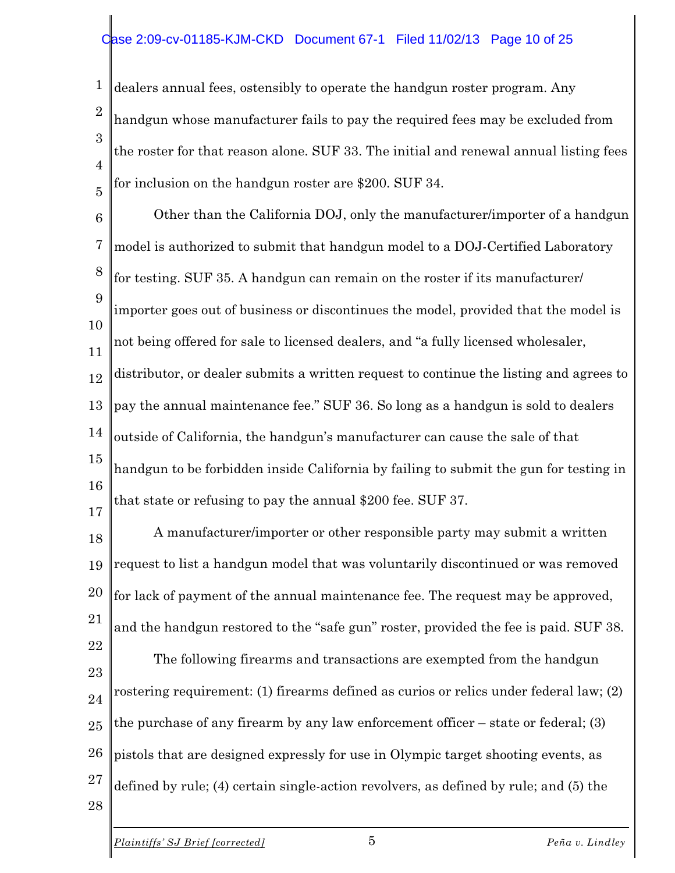#### ase 2:09-cv-01185-KJM-CKD Document 67-1 Filed 11/02/13 Page 10 of 25

1 2 3 4 5 dealers annual fees, ostensibly to operate the handgun roster program. Any handgun whose manufacturer fails to pay the required fees may be excluded from the roster for that reason alone. SUF 33. The initial and renewal annual listing fees for inclusion on the handgun roster are \$200. SUF 34.

6 7 8 9 10 11 12 13 14 15 16 Other than the California DOJ, only the manufacturer/importer of a handgun model is authorized to submit that handgun model to a DOJ-Certified Laboratory for testing. SUF 35. A handgun can remain on the roster if its manufacturer/ importer goes out of business or discontinues the model, provided that the model is not being offered for sale to licensed dealers, and "a fully licensed wholesaler, distributor, or dealer submits a written request to continue the listing and agrees to pay the annual maintenance fee." SUF 36. So long as a handgun is sold to dealers outside of California, the handgun's manufacturer can cause the sale of that handgun to be forbidden inside California by failing to submit the gun for testing in that state or refusing to pay the annual \$200 fee. SUF 37.

18 19 20 21 22 A manufacturer/importer or other responsible party may submit a written request to list a handgun model that was voluntarily discontinued or was removed for lack of payment of the annual maintenance fee. The request may be approved, and the handgun restored to the "safe gun" roster, provided the fee is paid. SUF 38. The following firearms and transactions are exempted from the handgun

23 24 25 26 27 rostering requirement: (1) firearms defined as curios or relics under federal law; (2) the purchase of any firearm by any law enforcement officer – state or federal; (3) pistols that are designed expressly for use in Olympic target shooting events, as defined by rule; (4) certain single-action revolvers, as defined by rule; and (5) the

28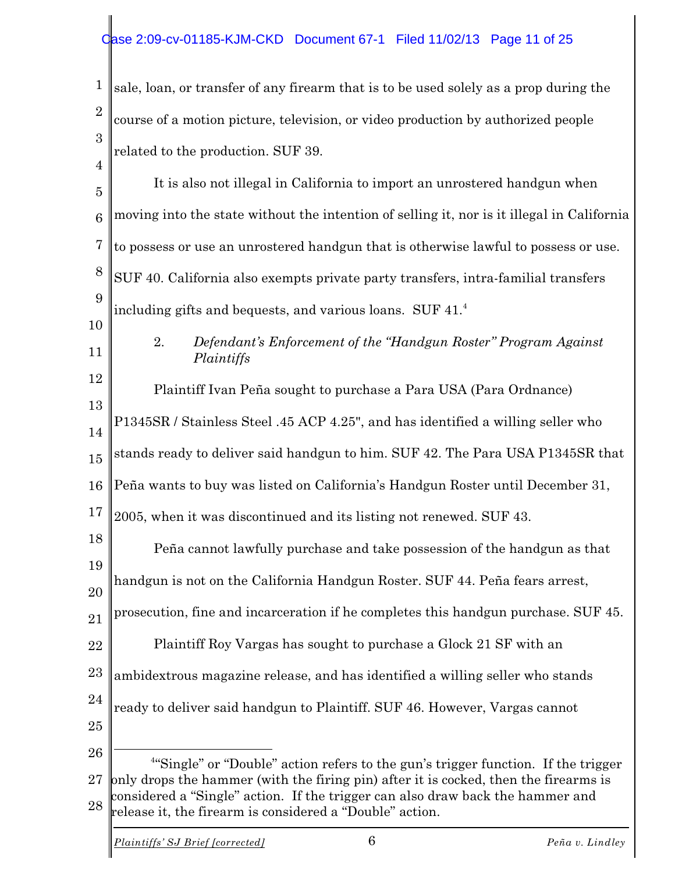#### ase 2:09-cv-01185-KJM-CKD Document 67-1 Filed 11/02/13 Page 11 of 25

1 2 3 sale, loan, or transfer of any firearm that is to be used solely as a prop during the course of a motion picture, television, or video production by authorized people related to the production. SUF 39.

4 5 6 7 8 9 10 11 12 13 14 15 16 17 18 19 20 21 22 23 24 25 26 27 | It is also not illegal in California to import an unrostered handgun when moving into the state without the intention of selling it, nor is it illegal in California to possess or use an unrostered handgun that is otherwise lawful to possess or use. SUF 40. California also exempts private party transfers, intra-familial transfers including gifts and bequests, and various loans. SUF  $41.^4$ 2. *Defendant's Enforcement of the "Handgun Roster" Program Against Plaintiffs* Plaintiff Ivan Peña sought to purchase a Para USA (Para Ordnance) P1345SR / Stainless Steel .45 ACP 4.25", and has identified a willing seller who stands ready to deliver said handgun to him. SUF 42. The Para USA P1345SR that Peña wants to buy was listed on California's Handgun Roster until December 31, 2005, when it was discontinued and its listing not renewed. SUF 43. Peña cannot lawfully purchase and take possession of the handgun as that handgun is not on the California Handgun Roster. SUF 44. Peña fears arrest, prosecution, fine and incarceration if he completes this handgun purchase. SUF 45. Plaintiff Roy Vargas has sought to purchase a Glock 21 SF with an ambidextrous magazine release, and has identified a willing seller who stands ready to deliver said handgun to Plaintiff. SUF 46. However, Vargas cannot <sup>4"</sup>Single" or "Double" action refers to the gun's trigger function. If the trigger only drops the hammer (with the firing pin) after it is cocked, then the firearms is

28 considered a "Single" action. If the trigger can also draw back the hammer and release it, the firearm is considered a "Double" action.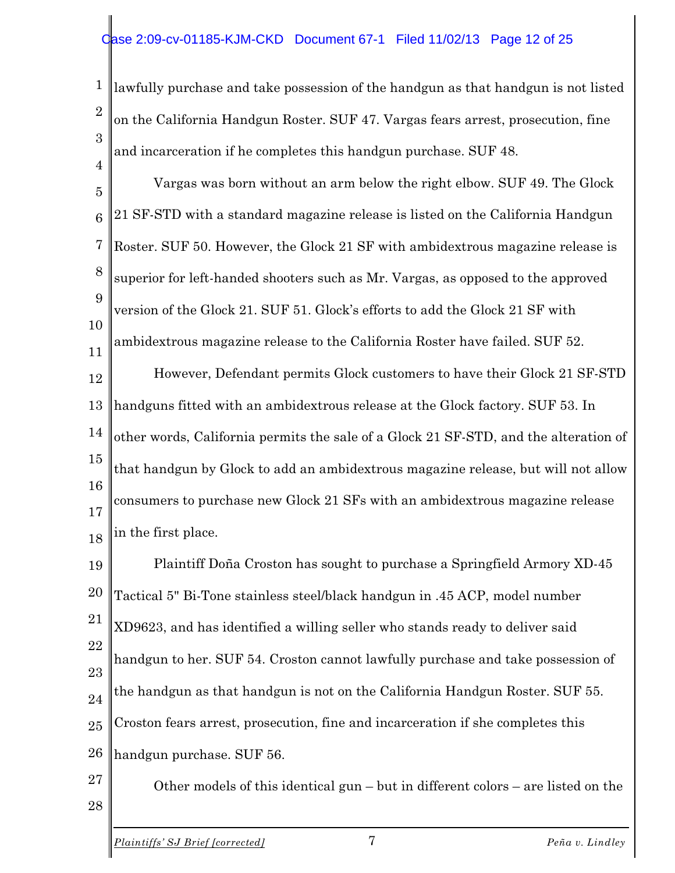#### ase 2:09-cv-01185-KJM-CKD Document 67-1 Filed 11/02/13 Page 12 of 25

1 2 3 lawfully purchase and take possession of the handgun as that handgun is not listed on the California Handgun Roster. SUF 47. Vargas fears arrest, prosecution, fine and incarceration if he completes this handgun purchase. SUF 48.

5 6 7 8 9 10 11 12 13 14 15 16 17 18 Vargas was born without an arm below the right elbow. SUF 49. The Glock 21 SF-STD with a standard magazine release is listed on the California Handgun Roster. SUF 50. However, the Glock 21 SF with ambidextrous magazine release is superior for left-handed shooters such as Mr. Vargas, as opposed to the approved version of the Glock 21. SUF 51. Glock's efforts to add the Glock 21 SF with ambidextrous magazine release to the California Roster have failed. SUF 52. However, Defendant permits Glock customers to have their Glock 21 SF-STD handguns fitted with an ambidextrous release at the Glock factory. SUF 53. In other words, California permits the sale of a Glock 21 SF-STD, and the alteration of that handgun by Glock to add an ambidextrous magazine release, but will not allow consumers to purchase new Glock 21 SFs with an ambidextrous magazine release in the first place.

19 20 21 22 23 24 25 26 Plaintiff Doña Croston has sought to purchase a Springfield Armory XD-45 Tactical 5" Bi-Tone stainless steel/black handgun in .45 ACP, model number XD9623, and has identified a willing seller who stands ready to deliver said handgun to her. SUF 54. Croston cannot lawfully purchase and take possession of the handgun as that handgun is not on the California Handgun Roster. SUF 55. Croston fears arrest, prosecution, fine and incarceration if she completes this handgun purchase. SUF 56.

27

28

4

Other models of this identical gun – but in different colors – are listed on the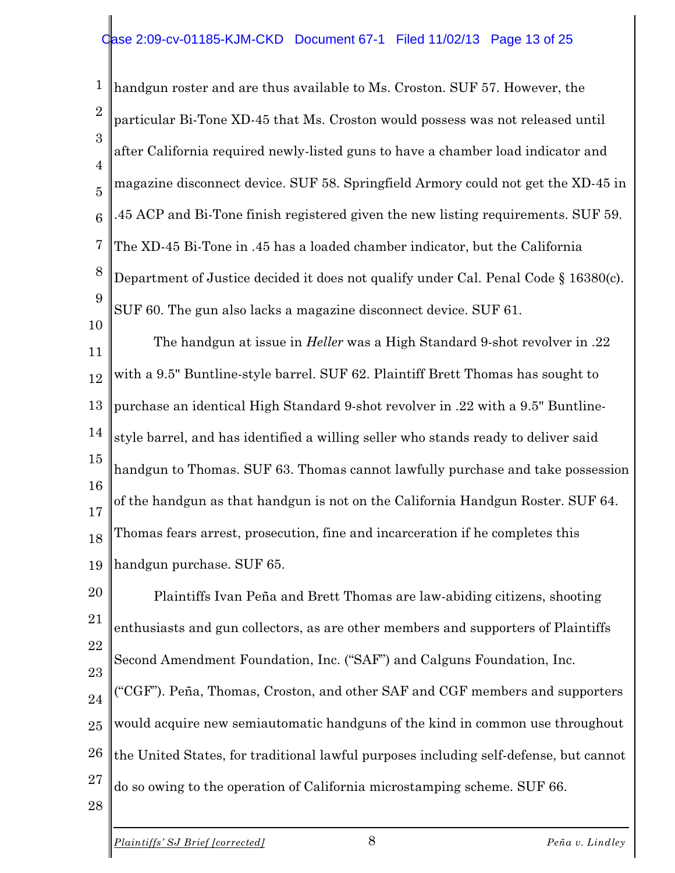1 2 3 4 5 6 7 8 9 10 handgun roster and are thus available to Ms. Croston. SUF 57. However, the particular Bi-Tone XD-45 that Ms. Croston would possess was not released until after California required newly-listed guns to have a chamber load indicator and magazine disconnect device. SUF 58. Springfield Armory could not get the XD-45 in .45 ACP and Bi-Tone finish registered given the new listing requirements. SUF 59. The XD-45 Bi-Tone in .45 has a loaded chamber indicator, but the California Department of Justice decided it does not qualify under Cal. Penal Code § 16380(c). SUF 60. The gun also lacks a magazine disconnect device. SUF 61.

11 12 13 14 15 16 17 18 19 The handgun at issue in *Heller* was a High Standard 9-shot revolver in .22 with a 9.5" Buntline-style barrel. SUF 62. Plaintiff Brett Thomas has sought to purchase an identical High Standard 9-shot revolver in .22 with a 9.5" Buntlinestyle barrel, and has identified a willing seller who stands ready to deliver said handgun to Thomas. SUF 63. Thomas cannot lawfully purchase and take possession of the handgun as that handgun is not on the California Handgun Roster. SUF 64. Thomas fears arrest, prosecution, fine and incarceration if he completes this handgun purchase. SUF 65.

20 21 22 23 24 25 26 27 Plaintiffs Ivan Peña and Brett Thomas are law-abiding citizens, shooting enthusiasts and gun collectors, as are other members and supporters of Plaintiffs Second Amendment Foundation, Inc. ("SAF") and Calguns Foundation, Inc. ("CGF"). Peña, Thomas, Croston, and other SAF and CGF members and supporters would acquire new semiautomatic handguns of the kind in common use throughout the United States, for traditional lawful purposes including self-defense, but cannot do so owing to the operation of California microstamping scheme. SUF 66.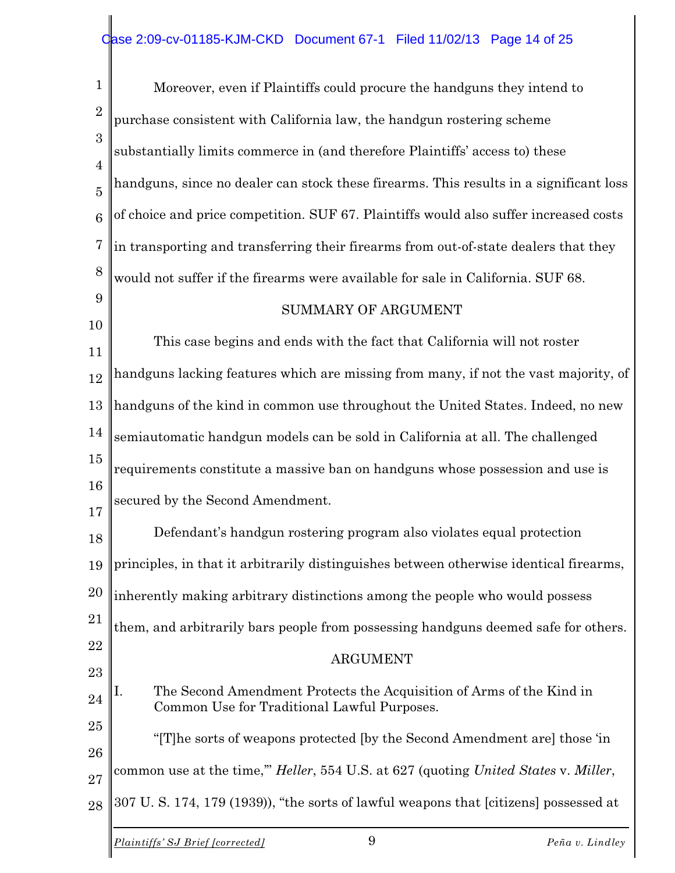| $\mathbf{1}$                     | Moreover, even if Plaintiffs could procure the handguns they intend to                                                    |
|----------------------------------|---------------------------------------------------------------------------------------------------------------------------|
| $\overline{2}$                   | purchase consistent with California law, the handgun rostering scheme                                                     |
| 3                                | substantially limits commerce in (and therefore Plaintiffs' access to) these                                              |
| $\overline{4}$<br>$\overline{5}$ | handguns, since no dealer can stock these firearms. This results in a significant loss                                    |
| 6                                | of choice and price competition. SUF 67. Plaintiffs would also suffer increased costs                                     |
| $\overline{7}$                   | in transporting and transferring their firearms from out-of-state dealers that they                                       |
| 8                                | would not suffer if the firearms were available for sale in California. SUF 68.                                           |
| 9                                | <b>SUMMARY OF ARGUMENT</b>                                                                                                |
| 10                               | This case begins and ends with the fact that California will not roster                                                   |
| 11<br>12                         | handguns lacking features which are missing from many, if not the vast majority, of                                       |
| 13                               | handguns of the kind in common use throughout the United States. Indeed, no new                                           |
| 14                               | semiautomatic handgun models can be sold in California at all. The challenged                                             |
| 15                               | requirements constitute a massive ban on handguns whose possession and use is                                             |
| 16                               | secured by the Second Amendment.                                                                                          |
| 17                               | Defendant's handgun rostering program also violates equal protection                                                      |
| 18                               |                                                                                                                           |
| 19                               | principles, in that it arbitrarily distinguishes between otherwise identical firearms,                                    |
| 20                               | inherently making arbitrary distinctions among the people who would possess                                               |
| 21                               | them, and arbitrarily bars people from possessing handguns deemed safe for others.                                        |
| 22                               | <b>ARGUMENT</b>                                                                                                           |
| 23                               |                                                                                                                           |
| 24                               | The Second Amendment Protects the Acquisition of Arms of the Kind in<br>Ι.<br>Common Use for Traditional Lawful Purposes. |
| 25                               | "[T] he sorts of weapons protected [by the Second Amendment are] those 'in                                                |
| 26<br>27                         | common use at the time," Heller, 554 U.S. at 627 (quoting United States v. Miller,                                        |
| 28                               | 307 U.S. 174, 179 (1939)), "the sorts of lawful weapons that [citizens] possessed at                                      |
|                                  | 9<br>Plaintiffs' SJ Brief [corrected]<br>Peña v. Lindley                                                                  |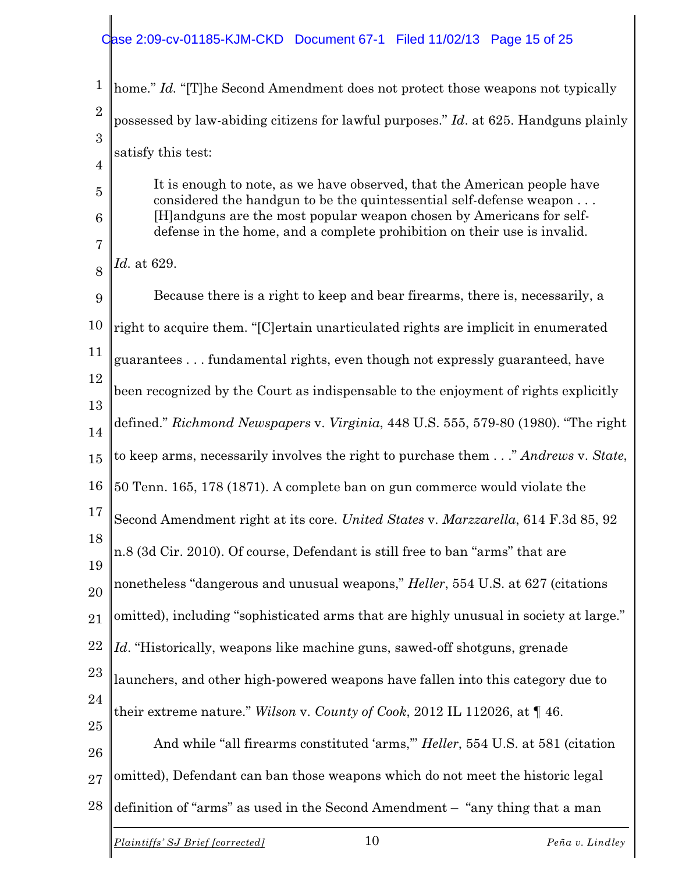### Case 2:09-cv-01185-KJM-CKD Document 67-1 Filed 11/02/13 Page 15 of 25

| $\mathbf{1}$        | home." Id. "[T]he Second Amendment does not protect those weapons not typically                                                                                                                                                                                                                       |  |  |
|---------------------|-------------------------------------------------------------------------------------------------------------------------------------------------------------------------------------------------------------------------------------------------------------------------------------------------------|--|--|
| $\overline{2}$      | possessed by law-abiding citizens for lawful purposes." Id. at 625. Handguns plainly                                                                                                                                                                                                                  |  |  |
| 3                   | satisfy this test:                                                                                                                                                                                                                                                                                    |  |  |
| $\overline{4}$      | It is enough to note, as we have observed, that the American people have<br>considered the handgun to be the quintessential self-defense weapon<br>[H] and guns are the most popular weapon chosen by Americans for self-<br>defense in the home, and a complete prohibition on their use is invalid. |  |  |
| $\overline{5}$      |                                                                                                                                                                                                                                                                                                       |  |  |
| $6\phantom{.}6$     |                                                                                                                                                                                                                                                                                                       |  |  |
| $\overline{7}$<br>8 | Id. at 629.                                                                                                                                                                                                                                                                                           |  |  |
| 9                   | Because there is a right to keep and bear firearms, there is, necessarily, a                                                                                                                                                                                                                          |  |  |
| 10                  | right to acquire them. "[C]ertain unarticulated rights are implicit in enumerated                                                                                                                                                                                                                     |  |  |
| 11                  | guarantees fundamental rights, even though not expressly guaranteed, have                                                                                                                                                                                                                             |  |  |
| 12                  | been recognized by the Court as indispensable to the enjoyment of rights explicitly<br>defined." Richmond Newspapers v. Virginia, 448 U.S. 555, 579-80 (1980). "The right                                                                                                                             |  |  |
| 13                  |                                                                                                                                                                                                                                                                                                       |  |  |
| 14                  |                                                                                                                                                                                                                                                                                                       |  |  |
| 15                  | to keep arms, necessarily involves the right to purchase them" Andrews v. State,                                                                                                                                                                                                                      |  |  |
| 16                  | 50 Tenn. 165, 178 (1871). A complete ban on gun commerce would violate the                                                                                                                                                                                                                            |  |  |
| 17                  | Second Amendment right at its core. United States v. Marzzarella, 614 F.3d 85, 92                                                                                                                                                                                                                     |  |  |
| 18                  | n.8 (3d Cir. 2010). Of course, Defendant is still free to ban "arms" that are                                                                                                                                                                                                                         |  |  |
| 19                  | nonetheless "dangerous and unusual weapons," Heller, 554 U.S. at 627 (citations                                                                                                                                                                                                                       |  |  |
| 20<br>21            | omitted), including "sophisticated arms that are highly unusual in society at large."                                                                                                                                                                                                                 |  |  |
| 22                  | Id. "Historically, weapons like machine guns, sawed-off shotguns, grenade                                                                                                                                                                                                                             |  |  |
| 23                  | launchers, and other high-powered weapons have fallen into this category due to                                                                                                                                                                                                                       |  |  |
| 24                  |                                                                                                                                                                                                                                                                                                       |  |  |
| 25                  | their extreme nature." Wilson v. County of Cook, 2012 IL 112026, at $\P$ 46.                                                                                                                                                                                                                          |  |  |
| 26                  | And while "all firearms constituted 'arms," Heller, 554 U.S. at 581 (citation                                                                                                                                                                                                                         |  |  |
| 27                  | omitted), Defendant can ban those weapons which do not meet the historic legal                                                                                                                                                                                                                        |  |  |
| 28                  | definition of "arms" as used in the Second Amendment - "any thing that a man                                                                                                                                                                                                                          |  |  |
|                     |                                                                                                                                                                                                                                                                                                       |  |  |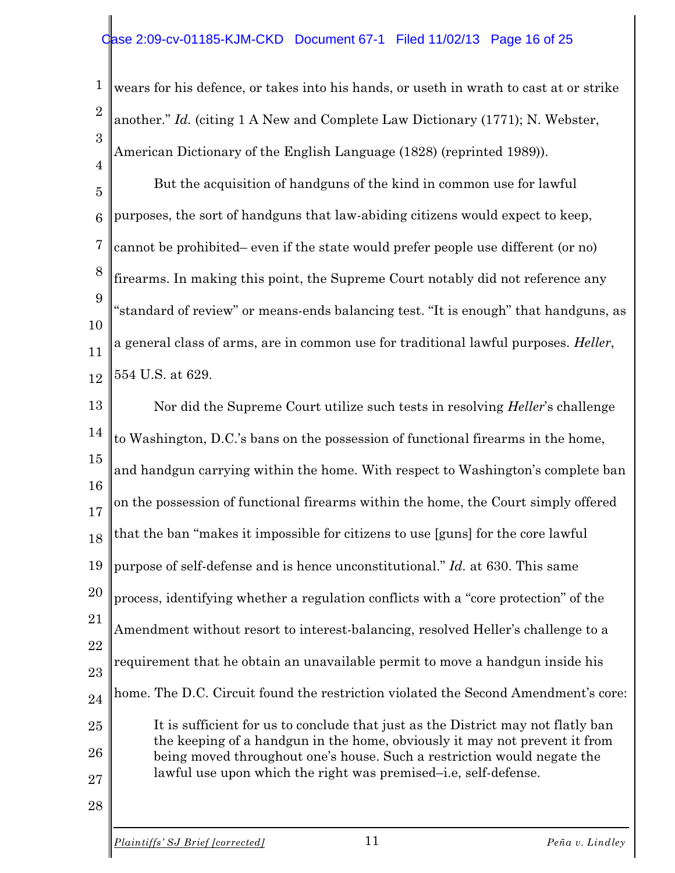#### ase 2:09-cv-01185-KJM-CKD Document 67-1 Filed 11/02/13 Page 16 of 25

1 2 3 wears for his defence, or takes into his hands, or useth in wrath to cast at or strike another." *Id.* (citing 1 A New and Complete Law Dictionary (1771); N. Webster, American Dictionary of the English Language (1828) (reprinted 1989)).

5 6 7 8 9 10 11 12 But the acquisition of handguns of the kind in common use for lawful purposes, the sort of handguns that law-abiding citizens would expect to keep, cannot be prohibited– even if the state would prefer people use different (or no) firearms. In making this point, the Supreme Court notably did not reference any "standard of review" or means-ends balancing test. "It is enough" that handguns, as a general class of arms, are in common use for traditional lawful purposes. *Heller*, 554 U.S. at 629.

13 14 15 16 17 18 19 20 21 22 23 24 25 26 27 28 Nor did the Supreme Court utilize such tests in resolving *Heller*'s challenge to Washington, D.C.'s bans on the possession of functional firearms in the home, and handgun carrying within the home. With respect to Washington's complete ban on the possession of functional firearms within the home, the Court simply offered that the ban "makes it impossible for citizens to use [guns] for the core lawful purpose of self-defense and is hence unconstitutional." *Id.* at 630. This same process, identifying whether a regulation conflicts with a "core protection" of the Amendment without resort to interest-balancing, resolved Heller's challenge to a requirement that he obtain an unavailable permit to move a handgun inside his home. The D.C. Circuit found the restriction violated the Second Amendment's core: It is sufficient for us to conclude that just as the District may not flatly ban the keeping of a handgun in the home, obviously it may not prevent it from being moved throughout one's house. Such a restriction would negate the lawful use upon which the right was premised–i.e, self-defense.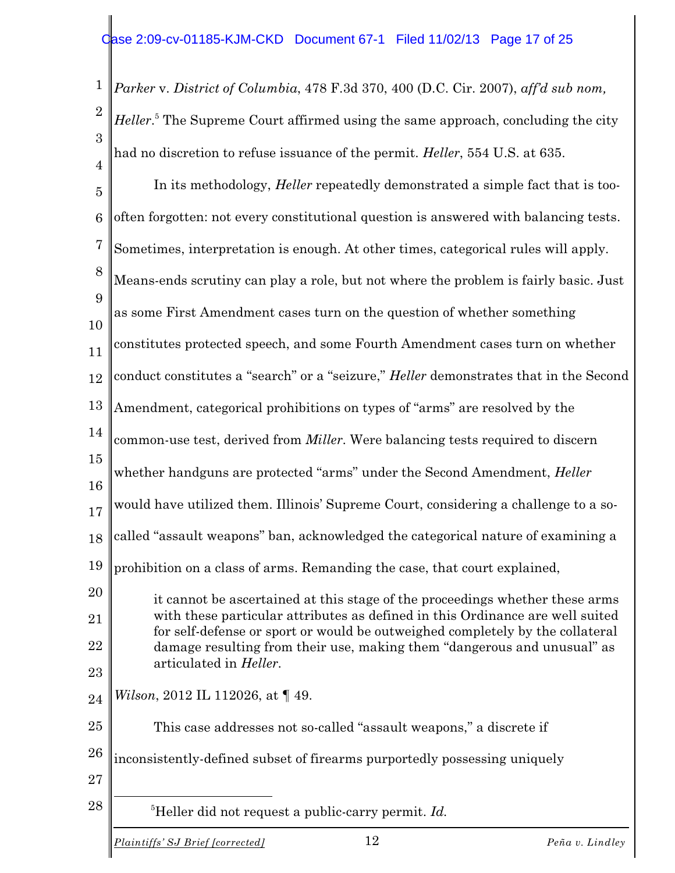1 2 3 4 *Parker* v. *District of Columbia*, 478 F.3d 370, 400 (D.C. Cir. 2007), *aff'd sub nom, Heller*.<sup>5</sup> The Supreme Court affirmed using the same approach, concluding the city had no discretion to refuse issuance of the permit. *Heller*, 554 U.S. at 635.

5 6 7 8 9 10 11 12 13 14 15 16 17 18 19 20 21 22 23 24 25 26 27 28 In its methodology, *Heller* repeatedly demonstrated a simple fact that is toooften forgotten: not every constitutional question is answered with balancing tests. Sometimes, interpretation is enough. At other times, categorical rules will apply. Means-ends scrutiny can play a role, but not where the problem is fairly basic. Just as some First Amendment cases turn on the question of whether something constitutes protected speech, and some Fourth Amendment cases turn on whether conduct constitutes a "search" or a "seizure," *Heller* demonstrates that in the Second Amendment, categorical prohibitions on types of "arms" are resolved by the common-use test, derived from *Miller*. Were balancing tests required to discern whether handguns are protected "arms" under the Second Amendment, *Heller* would have utilized them. Illinois' Supreme Court, considering a challenge to a socalled "assault weapons" ban, acknowledged the categorical nature of examining a prohibition on a class of arms. Remanding the case, that court explained, it cannot be ascertained at this stage of the proceedings whether these arms with these particular attributes as defined in this Ordinance are well suited for self-defense or sport or would be outweighed completely by the collateral damage resulting from their use, making them "dangerous and unusual" as articulated in *Heller*. *Wilson*, 2012 IL 112026, at  $\P$  49. This case addresses not so-called "assault weapons," a discrete if inconsistently-defined subset of firearms purportedly possessing uniquely <sup>5</sup>Heller did not request a public-carry permit. *Id.*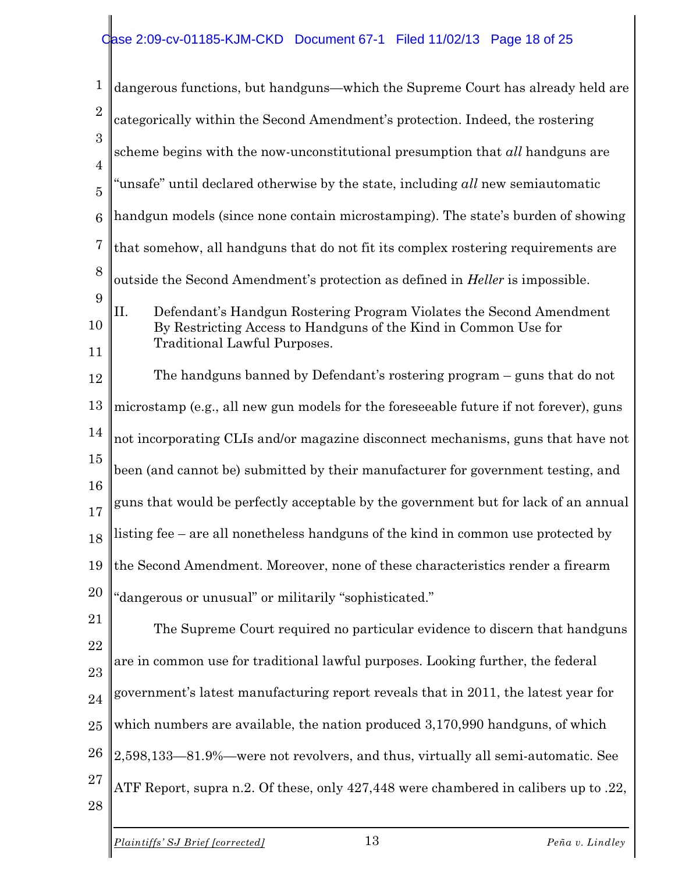| $\mathbf 1$         | dangerous functions, but handguns—which the Supreme Court has already held are                                                                                                |  |  |
|---------------------|-------------------------------------------------------------------------------------------------------------------------------------------------------------------------------|--|--|
| $\overline{2}$      | categorically within the Second Amendment's protection. Indeed, the rostering                                                                                                 |  |  |
| 3<br>$\overline{4}$ | scheme begins with the now-unconstitutional presumption that all handguns are                                                                                                 |  |  |
| $\overline{5}$      | 'unsafe" until declared otherwise by the state, including all new semiautomatic                                                                                               |  |  |
| 6                   | handgun models (since none contain microstamping). The state's burden of showing                                                                                              |  |  |
| $\overline{7}$      | that somehow, all handguns that do not fit its complex rostering requirements are                                                                                             |  |  |
| 8                   | outside the Second Amendment's protection as defined in <i>Heller</i> is impossible.                                                                                          |  |  |
| 9<br>10<br>11       | II.<br>Defendant's Handgun Rostering Program Violates the Second Amendment<br>By Restricting Access to Handguns of the Kind in Common Use for<br>Traditional Lawful Purposes. |  |  |
| 12                  | The handguns banned by Defendant's rostering program – guns that do not                                                                                                       |  |  |
| 13                  | microstamp (e.g., all new gun models for the foreseeable future if not forever), guns                                                                                         |  |  |
| 14                  | not incorporating CLIs and/or magazine disconnect mechanisms, guns that have not                                                                                              |  |  |
| 15                  | been (and cannot be) submitted by their manufacturer for government testing, and                                                                                              |  |  |
| 16<br>17            | guns that would be perfectly acceptable by the government but for lack of an annual                                                                                           |  |  |
| 18                  | listing fee – are all nonetheless handguns of the kind in common use protected by                                                                                             |  |  |
|                     | 19 I the Second Amendment. Moreover, none of these characteristics render a firearm                                                                                           |  |  |
| <b>20</b>           | "dangerous or unusual" or militarily "sophisticated."                                                                                                                         |  |  |
| 21                  | The Supreme Court required no particular evidence to discern that handguns                                                                                                    |  |  |
| 22<br>23            | are in common use for traditional lawful purposes. Looking further, the federal                                                                                               |  |  |
| 24                  | government's latest manufacturing report reveals that in 2011, the latest year for                                                                                            |  |  |
| 25                  | which numbers are available, the nation produced 3,170,990 handguns, of which                                                                                                 |  |  |
| 26                  | 2,598,133-81.9%-were not revolvers, and thus, virtually all semi-automatic. See                                                                                               |  |  |
| 27<br>28            | ATF Report, supra n.2. Of these, only 427,448 were chambered in calibers up to .22,                                                                                           |  |  |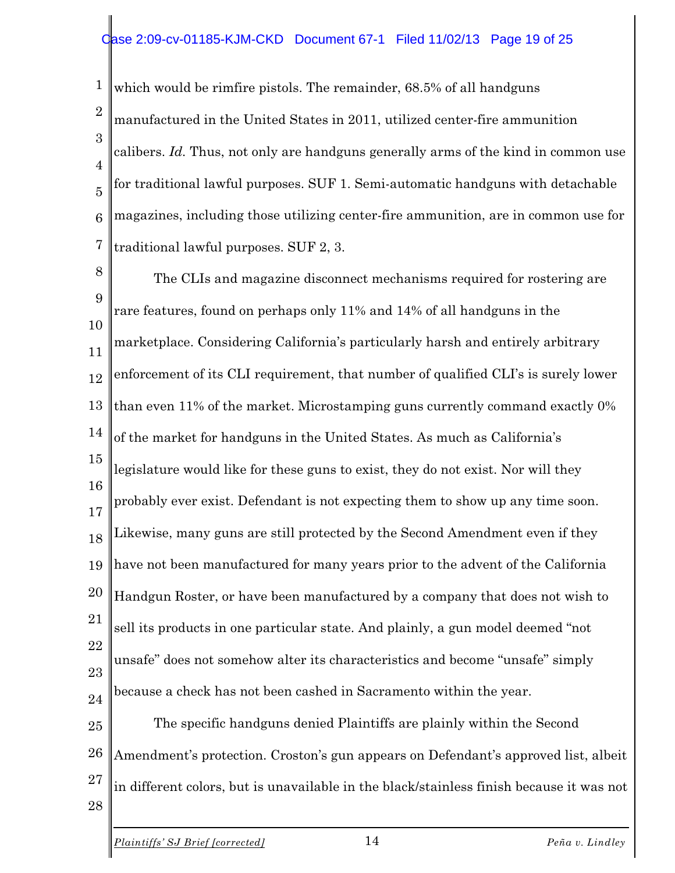#### ase 2:09-cv-01185-KJM-CKD Document 67-1 Filed 11/02/13 Page 19 of 25

1 2 3 4 5 6 7 which would be rimfire pistols. The remainder, 68.5% of all handguns manufactured in the United States in 2011, utilized center-fire ammunition calibers. *Id.* Thus, not only are handguns generally arms of the kind in common use for traditional lawful purposes. SUF 1. Semi-automatic handguns with detachable magazines, including those utilizing center-fire ammunition, are in common use for traditional lawful purposes. SUF 2, 3.

8 9 10 11 12 13 14 15 16 17 18 19 20 21 22 23 24 25 26 27 The CLIs and magazine disconnect mechanisms required for rostering are rare features, found on perhaps only 11% and 14% of all handguns in the marketplace. Considering California's particularly harsh and entirely arbitrary enforcement of its CLI requirement, that number of qualified CLI's is surely lower than even 11% of the market. Microstamping guns currently command exactly 0% of the market for handguns in the United States. As much as California's legislature would like for these guns to exist, they do not exist. Nor will they probably ever exist. Defendant is not expecting them to show up any time soon. Likewise, many guns are still protected by the Second Amendment even if they have not been manufactured for many years prior to the advent of the California Handgun Roster, or have been manufactured by a company that does not wish to sell its products in one particular state. And plainly, a gun model deemed "not unsafe" does not somehow alter its characteristics and become "unsafe" simply because a check has not been cashed in Sacramento within the year. The specific handguns denied Plaintiffs are plainly within the Second Amendment's protection. Croston's gun appears on Defendant's approved list, albeit in different colors, but is unavailable in the black/stainless finish because it was not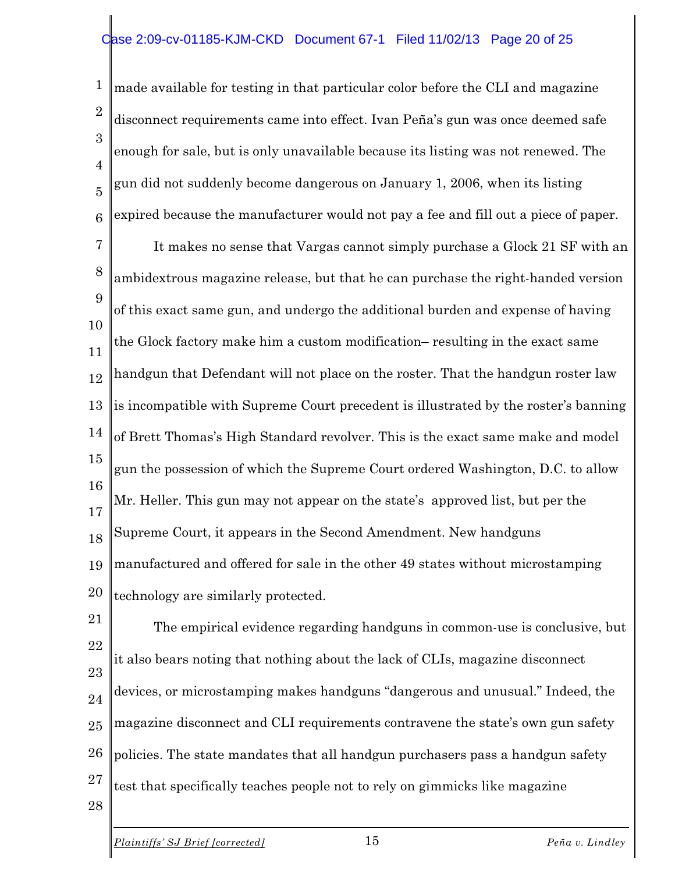#### ase 2:09-cv-01185-KJM-CKD Document 67-1 Filed 11/02/13 Page 20 of 25

1 2 3 4 5 6 made available for testing in that particular color before the CLI and magazine disconnect requirements came into effect. Ivan Peña's gun was once deemed safe enough for sale, but is only unavailable because its listing was not renewed. The gun did not suddenly become dangerous on January 1, 2006, when its listing expired because the manufacturer would not pay a fee and fill out a piece of paper.

7 8 9 10 11 12 13 14 15 16 17 18 19 20 It makes no sense that Vargas cannot simply purchase a Glock 21 SF with an ambidextrous magazine release, but that he can purchase the right-handed version of this exact same gun, and undergo the additional burden and expense of having the Glock factory make him a custom modification– resulting in the exact same handgun that Defendant will not place on the roster. That the handgun roster law is incompatible with Supreme Court precedent is illustrated by the roster's banning of Brett Thomas's High Standard revolver. This is the exact same make and model gun the possession of which the Supreme Court ordered Washington, D.C. to allow Mr. Heller. This gun may not appear on the state's approved list, but per the Supreme Court, it appears in the Second Amendment. New handguns manufactured and offered for sale in the other 49 states without microstamping technology are similarly protected.

21 22 23 24 25 26 27 The empirical evidence regarding handguns in common-use is conclusive, but it also bears noting that nothing about the lack of CLIs, magazine disconnect devices, or microstamping makes handguns "dangerous and unusual." Indeed, the magazine disconnect and CLI requirements contravene the state's own gun safety policies. The state mandates that all handgun purchasers pass a handgun safety test that specifically teaches people not to rely on gimmicks like magazine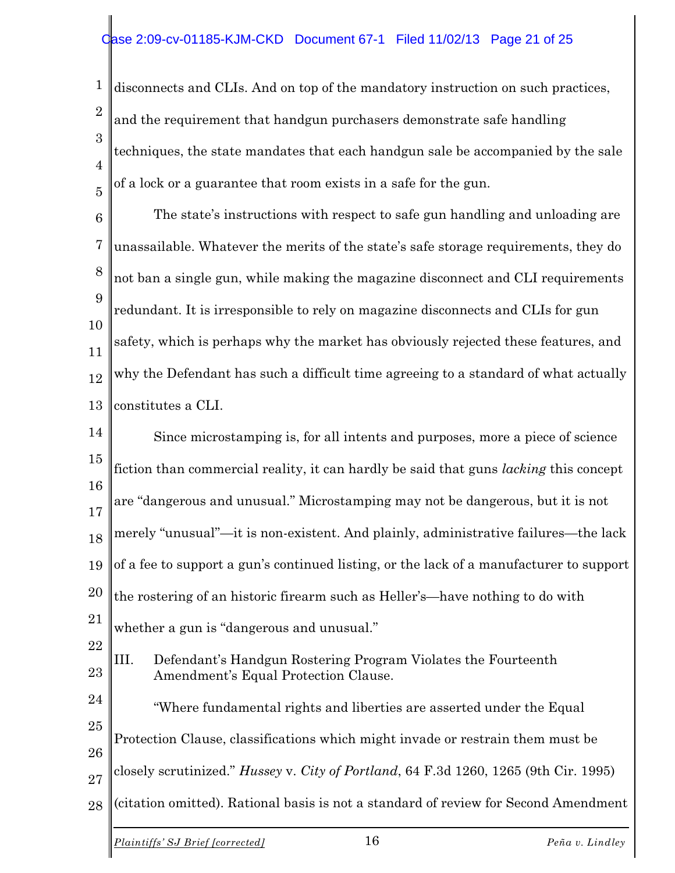1 2 3 4 5 disconnects and CLIs. And on top of the mandatory instruction on such practices, and the requirement that handgun purchasers demonstrate safe handling techniques, the state mandates that each handgun sale be accompanied by the sale of a lock or a guarantee that room exists in a safe for the gun.

6 7 8 9 10 11 12 13 The state's instructions with respect to safe gun handling and unloading are unassailable. Whatever the merits of the state's safe storage requirements, they do not ban a single gun, while making the magazine disconnect and CLI requirements redundant. It is irresponsible to rely on magazine disconnects and CLIs for gun safety, which is perhaps why the market has obviously rejected these features, and why the Defendant has such a difficult time agreeing to a standard of what actually constitutes a CLI.

14 15 16 17 18 19 20 21 22 23 24 25 26 27 28 Since microstamping is, for all intents and purposes, more a piece of science fiction than commercial reality, it can hardly be said that guns *lacking* this concept are "dangerous and unusual." Microstamping may not be dangerous, but it is not merely "unusual"—it is non-existent. And plainly, administrative failures—the lack of a fee to support a gun's continued listing, or the lack of a manufacturer to support the rostering of an historic firearm such as Heller's—have nothing to do with whether a gun is "dangerous and unusual." III. Defendant's Handgun Rostering Program Violates the Fourteenth Amendment's Equal Protection Clause. "Where fundamental rights and liberties are asserted under the Equal Protection Clause, classifications which might invade or restrain them must be closely scrutinized." *Hussey* v. *City of Portland*, 64 F.3d 1260, 1265 (9th Cir. 1995) (citation omitted). Rational basis is not a standard of review for Second Amendment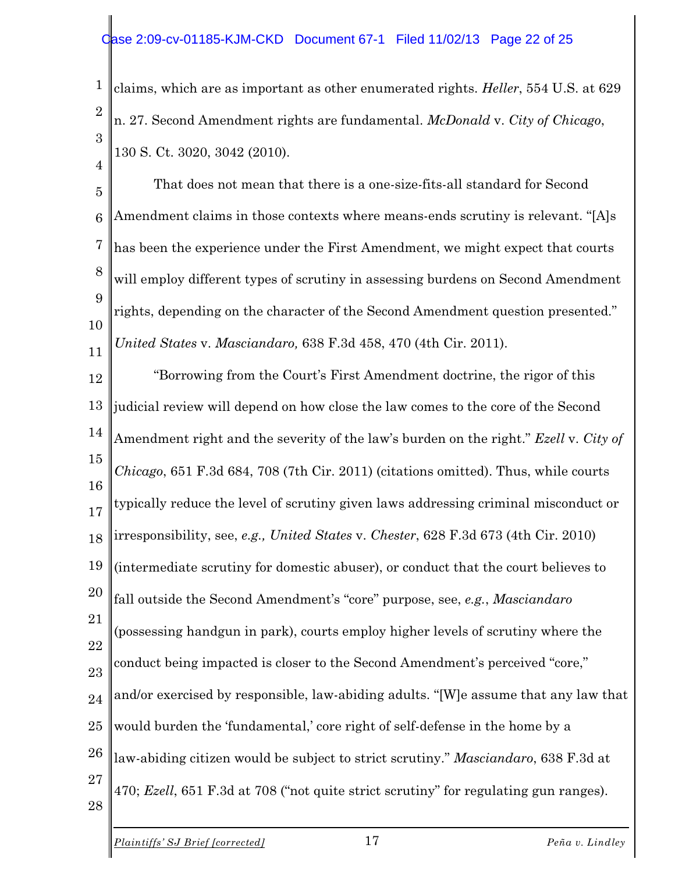1 2 3 claims, which are as important as other enumerated rights. *Heller*, 554 U.S. at 629 n. 27. Second Amendment rights are fundamental. *McDonald* v. *City of Chicago*, 130 S. Ct. 3020, 3042 (2010).

5 6 7 8 9 10 11 That does not mean that there is a one-size-fits-all standard for Second Amendment claims in those contexts where means-ends scrutiny is relevant. "[A]s has been the experience under the First Amendment, we might expect that courts will employ different types of scrutiny in assessing burdens on Second Amendment rights, depending on the character of the Second Amendment question presented." *United States* v. *Masciandaro,* 638 F.3d 458, 470 (4th Cir. 2011).

12 13 14 15 16 17 18 19 20 21 22 23 24 25 26 27 28 "Borrowing from the Court's First Amendment doctrine, the rigor of this judicial review will depend on how close the law comes to the core of the Second Amendment right and the severity of the law's burden on the right." *Ezell* v. *City of Chicago*, 651 F.3d 684, 708 (7th Cir. 2011) (citations omitted). Thus, while courts typically reduce the level of scrutiny given laws addressing criminal misconduct or irresponsibility, see, *e.g., United States* v. *Chester*, 628 F.3d 673 (4th Cir. 2010) (intermediate scrutiny for domestic abuser), or conduct that the court believes to fall outside the Second Amendment's "core" purpose, see, *e.g.*, *Masciandaro* (possessing handgun in park), courts employ higher levels of scrutiny where the conduct being impacted is closer to the Second Amendment's perceived "core," and/or exercised by responsible, law-abiding adults. "[W]e assume that any law that would burden the 'fundamental,' core right of self-defense in the home by a law-abiding citizen would be subject to strict scrutiny." *Masciandaro*, 638 F.3d at 470; *Ezell*, 651 F.3d at 708 ("not quite strict scrutiny" for regulating gun ranges).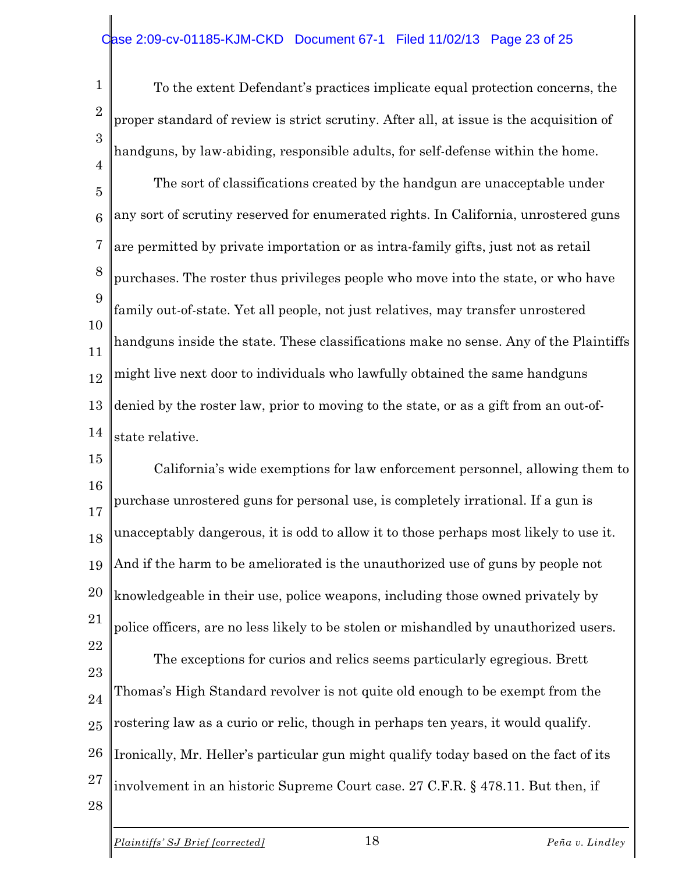#### ase 2:09-cv-01185-KJM-CKD Document 67-1 Filed 11/02/13 Page 23 of 25

1  $\mathcal{D}_{\mathcal{L}}$ 3 4 To the extent Defendant's practices implicate equal protection concerns, the proper standard of review is strict scrutiny. After all, at issue is the acquisition of handguns, by law-abiding, responsible adults, for self-defense within the home.

5 6 7 8 9 10 11 12 13 14 The sort of classifications created by the handgun are unacceptable under any sort of scrutiny reserved for enumerated rights. In California, unrostered guns are permitted by private importation or as intra-family gifts, just not as retail purchases. The roster thus privileges people who move into the state, or who have family out-of-state. Yet all people, not just relatives, may transfer unrostered handguns inside the state. These classifications make no sense. Any of the Plaintiffs might live next door to individuals who lawfully obtained the same handguns denied by the roster law, prior to moving to the state, or as a gift from an out-ofstate relative.

15 16 17 18 19 20 21 22 23 24 25 26 California's wide exemptions for law enforcement personnel, allowing them to purchase unrostered guns for personal use, is completely irrational. If a gun is unacceptably dangerous, it is odd to allow it to those perhaps most likely to use it. And if the harm to be ameliorated is the unauthorized use of guns by people not knowledgeable in their use, police weapons, including those owned privately by police officers, are no less likely to be stolen or mishandled by unauthorized users. The exceptions for curios and relics seems particularly egregious. Brett Thomas's High Standard revolver is not quite old enough to be exempt from the rostering law as a curio or relic, though in perhaps ten years, it would qualify. Ironically, Mr. Heller's particular gun might qualify today based on the fact of its

27 involvement in an historic Supreme Court case. 27 C.F.R. § 478.11. But then, if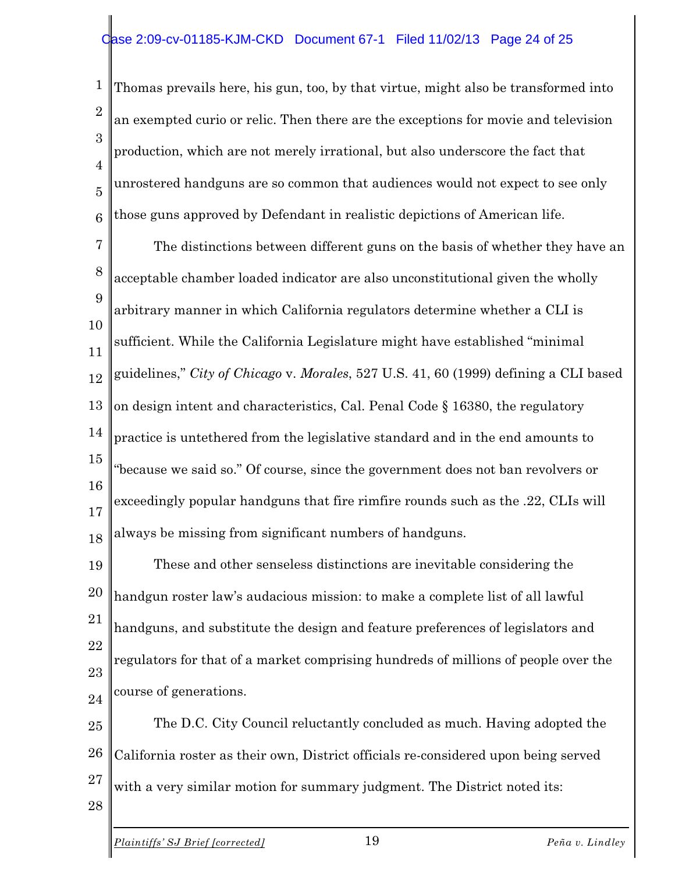#### ase 2:09-cv-01185-KJM-CKD Document 67-1 Filed 11/02/13 Page 24 of 25

1 2 3 4 5 6 Thomas prevails here, his gun, too, by that virtue, might also be transformed into an exempted curio or relic. Then there are the exceptions for movie and television production, which are not merely irrational, but also underscore the fact that unrostered handguns are so common that audiences would not expect to see only those guns approved by Defendant in realistic depictions of American life.

7 8 9 10 11 12 13 14 15 16 17 18 The distinctions between different guns on the basis of whether they have an acceptable chamber loaded indicator are also unconstitutional given the wholly arbitrary manner in which California regulators determine whether a CLI is sufficient. While the California Legislature might have established "minimal guidelines," *City of Chicago* v. *Morales*, 527 U.S. 41, 60 (1999) defining a CLI based on design intent and characteristics, Cal. Penal Code § 16380, the regulatory practice is untethered from the legislative standard and in the end amounts to "because we said so." Of course, since the government does not ban revolvers or exceedingly popular handguns that fire rimfire rounds such as the .22, CLIs will always be missing from significant numbers of handguns.

19 20 21 22 23 24 These and other senseless distinctions are inevitable considering the handgun roster law's audacious mission: to make a complete list of all lawful handguns, and substitute the design and feature preferences of legislators and regulators for that of a market comprising hundreds of millions of people over the course of generations.

25 26 27 The D.C. City Council reluctantly concluded as much. Having adopted the California roster as their own, District officials re-considered upon being served with a very similar motion for summary judgment. The District noted its: